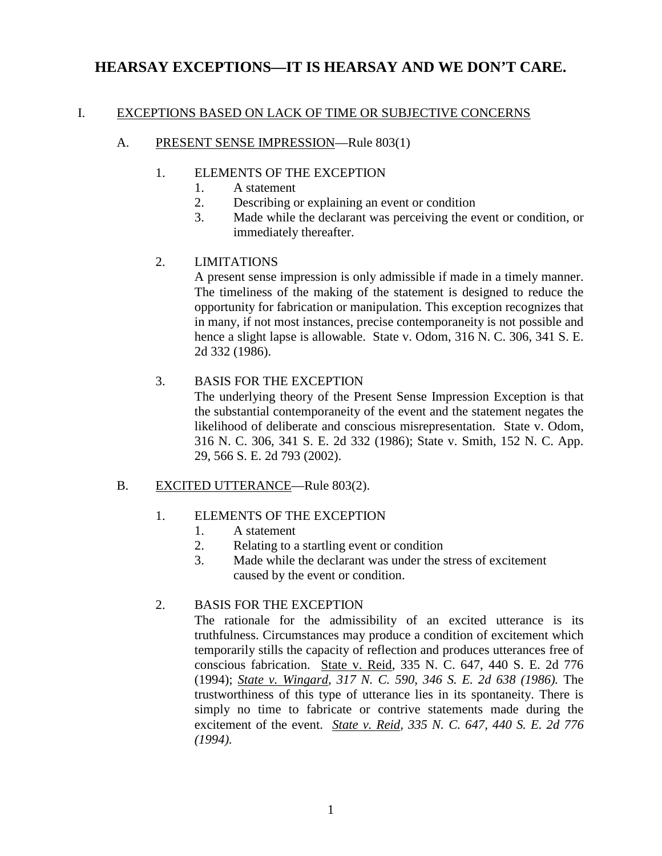# **HEARSAY EXCEPTIONS—IT IS HEARSAY AND WE DON'T CARE.**

#### I. EXCEPTIONS BASED ON LACK OF TIME OR SUBJECTIVE CONCERNS

#### A. PRESENT SENSE IMPRESSION—Rule 803(1)

#### 1. ELEMENTS OF THE EXCEPTION

- 1. A statement
- 2. Describing or explaining an event or condition
- 3. Made while the declarant was perceiving the event or condition, or immediately thereafter.

## 2. LIMITATIONS

A present sense impression is only admissible if made in a timely manner. The timeliness of the making of the statement is designed to reduce the opportunity for fabrication or manipulation. This exception recognizes that in many, if not most instances, precise contemporaneity is not possible and hence a slight lapse is allowable. State v. Odom, 316 N. C. 306, 341 S. E. 2d 332 (1986).

## 3. BASIS FOR THE EXCEPTION

The underlying theory of the Present Sense Impression Exception is that the substantial contemporaneity of the event and the statement negates the likelihood of deliberate and conscious misrepresentation. State v. Odom, 316 N. C. 306, 341 S. E. 2d 332 (1986); State v. Smith, 152 N. C. App. 29, 566 S. E. 2d 793 (2002).

## B. EXCITED UTTERANCE—Rule 803(2).

## 1. ELEMENTS OF THE EXCEPTION

- 1. A statement
- 2. Relating to a startling event or condition
- 3. Made while the declarant was under the stress of excitement caused by the event or condition.

#### 2. BASIS FOR THE EXCEPTION

The rationale for the admissibility of an excited utterance is its truthfulness. Circumstances may produce a condition of excitement which temporarily stills the capacity of reflection and produces utterances free of conscious fabrication. State v. Reid, 335 N. C. 647, 440 S. E. 2d 776 (1994); *State v. Wingard, 317 N. C. 590, 346 S. E. 2d 638 (1986).* The trustworthiness of this type of utterance lies in its spontaneity. There is simply no time to fabricate or contrive statements made during the excitement of the event. *State v. Reid, 335 N. C. 647, 440 S. E. 2d 776 (1994).*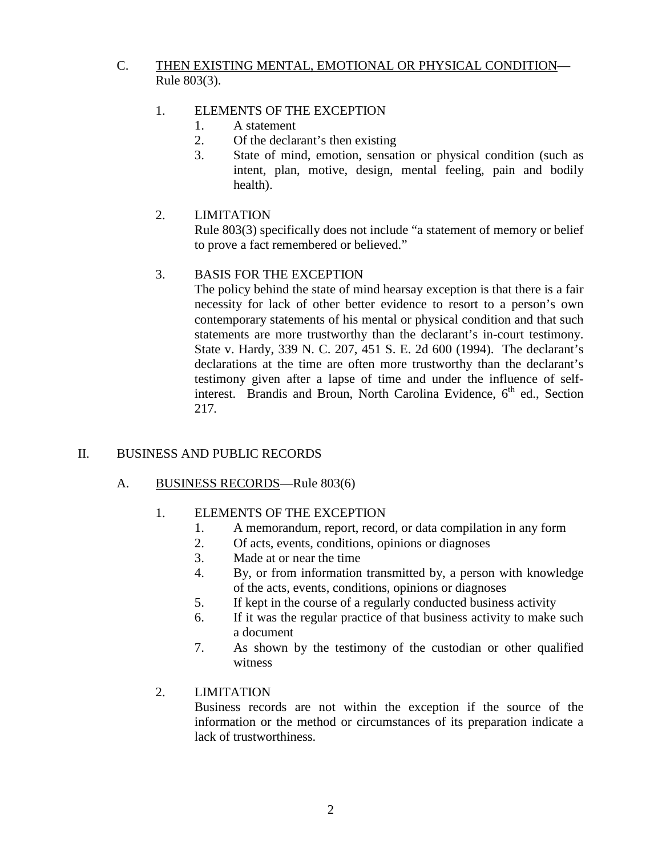## C. THEN EXISTING MENTAL, EMOTIONAL OR PHYSICAL CONDITION— Rule 803(3).

#### 1. ELEMENTS OF THE EXCEPTION

- 1. A statement
- 2. Of the declarant's then existing
- 3. State of mind, emotion, sensation or physical condition (such as intent, plan, motive, design, mental feeling, pain and bodily health).
- 2. LIMITATION

Rule 803(3) specifically does not include "a statement of memory or belief to prove a fact remembered or believed."

## 3. BASIS FOR THE EXCEPTION

The policy behind the state of mind hearsay exception is that there is a fair necessity for lack of other better evidence to resort to a person's own contemporary statements of his mental or physical condition and that such statements are more trustworthy than the declarant's in-court testimony. State v. Hardy, 339 N. C. 207, 451 S. E. 2d 600 (1994). The declarant's declarations at the time are often more trustworthy than the declarant's testimony given after a lapse of time and under the influence of selfinterest. Brandis and Broun, North Carolina Evidence,  $6<sup>th</sup>$  ed., Section 217*.* 

## II. BUSINESS AND PUBLIC RECORDS

#### A. BUSINESS RECORDS—Rule 803(6)

#### 1. ELEMENTS OF THE EXCEPTION

- 1. A memorandum, report, record, or data compilation in any form
- 2. Of acts, events, conditions, opinions or diagnoses
- 3. Made at or near the time
- 4. By, or from information transmitted by, a person with knowledge of the acts, events, conditions, opinions or diagnoses
- 5. If kept in the course of a regularly conducted business activity
- 6. If it was the regular practice of that business activity to make such a document
- 7. As shown by the testimony of the custodian or other qualified witness

## 2. LIMITATION

Business records are not within the exception if the source of the information or the method or circumstances of its preparation indicate a lack of trustworthiness.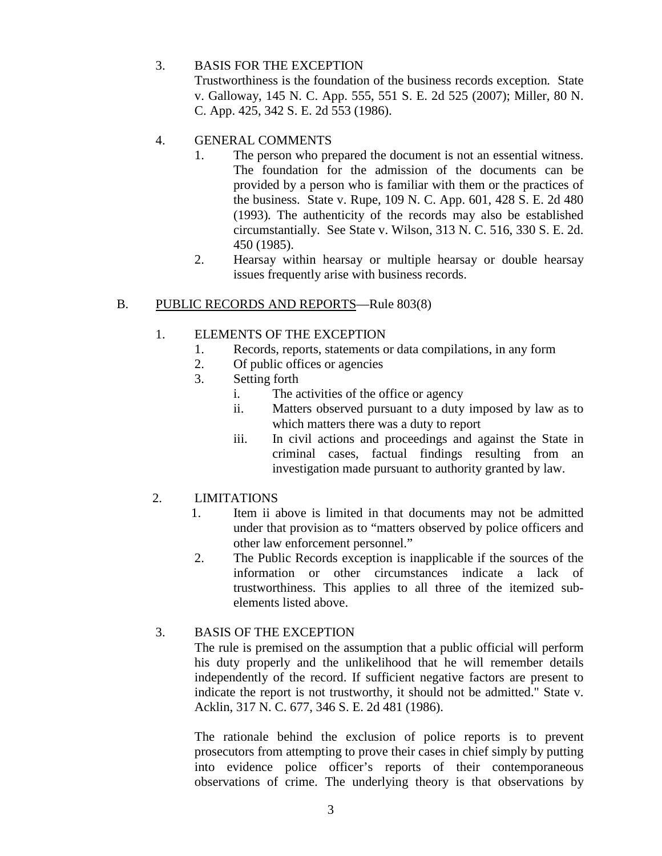## 3. BASIS FOR THE EXCEPTION

Trustworthiness is the foundation of the business records exception*.* State v. Galloway, 145 N. C. App. 555, 551 S. E. 2d 525 (2007); Miller, 80 N. C. App. 425, 342 S. E. 2d 553 (1986).

## 4. GENERAL COMMENTS

- 1. The person who prepared the document is not an essential witness. The foundation for the admission of the documents can be provided by a person who is familiar with them or the practices of the business. State v. Rupe, 109 N. C. App. 601, 428 S. E. 2d 480 (1993)*.* The authenticity of the records may also be established circumstantially. See State v. Wilson, 313 N. C. 516, 330 S. E. 2d. 450 (1985).
- 2. Hearsay within hearsay or multiple hearsay or double hearsay issues frequently arise with business records.

## B. PUBLIC RECORDS AND REPORTS—Rule 803(8)

#### 1. ELEMENTS OF THE EXCEPTION

- 1. Records, reports, statements or data compilations, in any form
- 2. Of public offices or agencies
- 3. Setting forth
	- i. The activities of the office or agency
	- ii. Matters observed pursuant to a duty imposed by law as to which matters there was a duty to report
	- iii. In civil actions and proceedings and against the State in criminal cases, factual findings resulting from an investigation made pursuant to authority granted by law.

## 2. LIMITATIONS

- 1. Item ii above is limited in that documents may not be admitted under that provision as to "matters observed by police officers and other law enforcement personnel."
- 2. The Public Records exception is inapplicable if the sources of the information or other circumstances indicate a lack of trustworthiness. This applies to all three of the itemized subelements listed above.

## 3. BASIS OF THE EXCEPTION

The rule is premised on the assumption that a public official will perform his duty properly and the unlikelihood that he will remember details independently of the record. If sufficient negative factors are present to indicate the report is not trustworthy, it should not be admitted." State v. Acklin, 317 N. C. 677, 346 S. E. 2d 481 (1986).

The rationale behind the exclusion of police reports is to prevent prosecutors from attempting to prove their cases in chief simply by putting into evidence police officer's reports of their contemporaneous observations of crime. The underlying theory is that observations by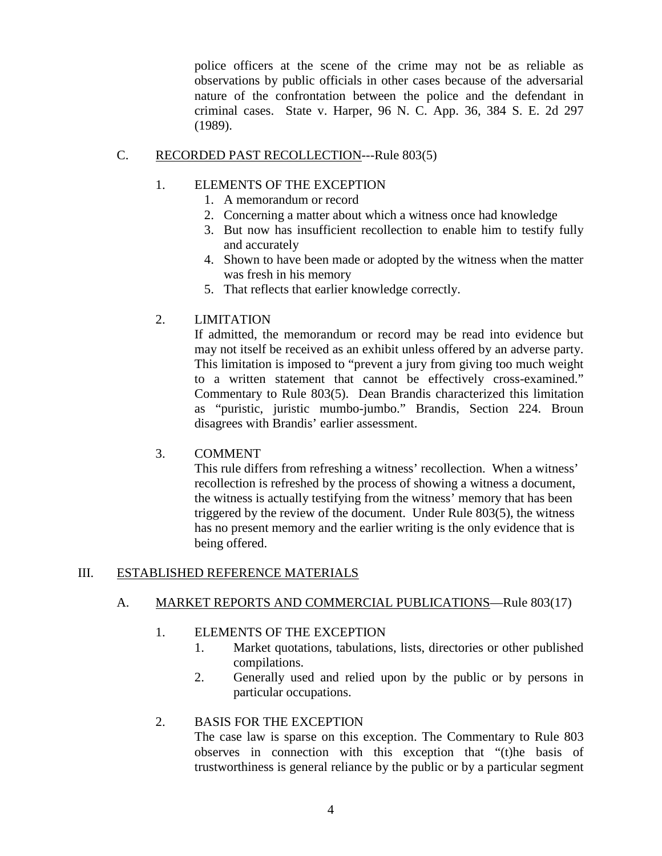police officers at the scene of the crime may not be as reliable as observations by public officials in other cases because of the adversarial nature of the confrontation between the police and the defendant in criminal cases. State v. Harper, 96 N. C. App. 36, 384 S. E. 2d 297 (1989).

#### C. RECORDED PAST RECOLLECTION---Rule 803(5)

## 1. ELEMENTS OF THE EXCEPTION

- 1. A memorandum or record
- 2. Concerning a matter about which a witness once had knowledge
- 3. But now has insufficient recollection to enable him to testify fully and accurately
- 4. Shown to have been made or adopted by the witness when the matter was fresh in his memory
- 5. That reflects that earlier knowledge correctly.

## 2. LIMITATION

If admitted, the memorandum or record may be read into evidence but may not itself be received as an exhibit unless offered by an adverse party. This limitation is imposed to "prevent a jury from giving too much weight to a written statement that cannot be effectively cross-examined." Commentary to Rule 803(5). Dean Brandis characterized this limitation as "puristic, juristic mumbo-jumbo." Brandis, Section 224. Broun disagrees with Brandis' earlier assessment.

## 3. COMMENT

This rule differs from refreshing a witness' recollection. When a witness' recollection is refreshed by the process of showing a witness a document, the witness is actually testifying from the witness' memory that has been triggered by the review of the document. Under Rule 803(5), the witness has no present memory and the earlier writing is the only evidence that is being offered.

## III. ESTABLISHED REFERENCE MATERIALS

## A. MARKET REPORTS AND COMMERCIAL PUBLICATIONS—Rule 803(17)

#### 1. ELEMENTS OF THE EXCEPTION

- 1. Market quotations, tabulations, lists, directories or other published compilations.
- 2. Generally used and relied upon by the public or by persons in particular occupations.

## 2. BASIS FOR THE EXCEPTION

The case law is sparse on this exception. The Commentary to Rule 803 observes in connection with this exception that "(t)he basis of trustworthiness is general reliance by the public or by a particular segment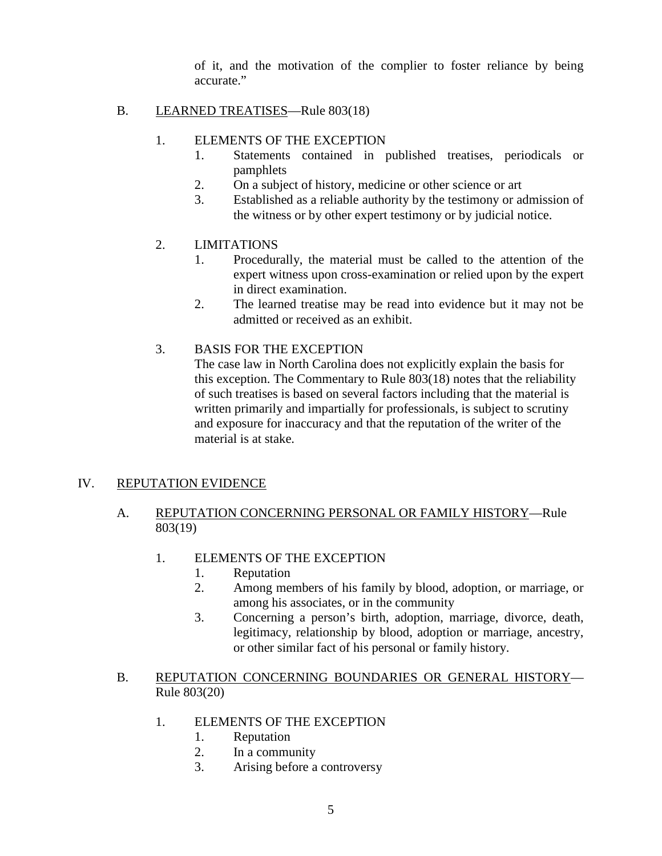of it, and the motivation of the complier to foster reliance by being accurate."

#### B. LEARNED TREATISES—Rule 803(18)

#### 1. ELEMENTS OF THE EXCEPTION

- 1. Statements contained in published treatises, periodicals or pamphlets
- 2. On a subject of history, medicine or other science or art
- 3. Established as a reliable authority by the testimony or admission of the witness or by other expert testimony or by judicial notice.

## 2. LIMITATIONS

- 1. Procedurally, the material must be called to the attention of the expert witness upon cross-examination or relied upon by the expert in direct examination.
- 2. The learned treatise may be read into evidence but it may not be admitted or received as an exhibit.

#### 3. BASIS FOR THE EXCEPTION

The case law in North Carolina does not explicitly explain the basis for this exception. The Commentary to Rule 803(18) notes that the reliability of such treatises is based on several factors including that the material is written primarily and impartially for professionals, is subject to scrutiny and exposure for inaccuracy and that the reputation of the writer of the material is at stake.

## IV. REPUTATION EVIDENCE

## A. REPUTATION CONCERNING PERSONAL OR FAMILY HISTORY-Rule 803(19)

- 1. ELEMENTS OF THE EXCEPTION
	- 1. Reputation
	- 2. Among members of his family by blood, adoption, or marriage, or among his associates, or in the community
	- 3. Concerning a person's birth, adoption, marriage, divorce, death, legitimacy, relationship by blood, adoption or marriage, ancestry, or other similar fact of his personal or family history.

#### B. REPUTATION CONCERNING BOUNDARIES OR GENERAL HISTORY-Rule 803(20)

- 1. ELEMENTS OF THE EXCEPTION
	- 1. Reputation
	- 2. In a community
	- 3. Arising before a controversy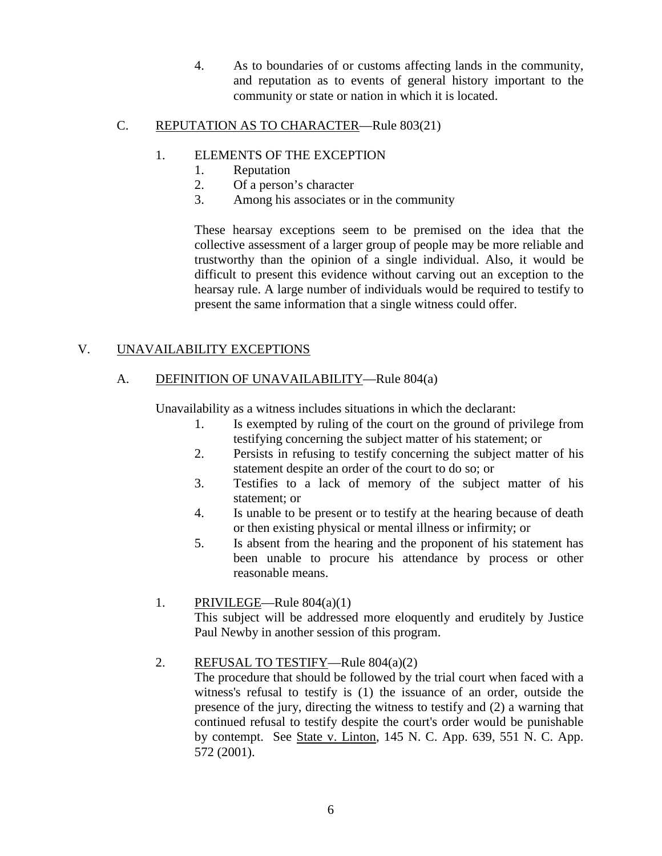4. As to boundaries of or customs affecting lands in the community, and reputation as to events of general history important to the community or state or nation in which it is located.

## C. REPUTATION AS TO CHARACTER—Rule 803(21)

## 1. ELEMENTS OF THE EXCEPTION

- 1. Reputation
- 2. Of a person's character
- 3. Among his associates or in the community

These hearsay exceptions seem to be premised on the idea that the collective assessment of a larger group of people may be more reliable and trustworthy than the opinion of a single individual. Also, it would be difficult to present this evidence without carving out an exception to the hearsay rule. A large number of individuals would be required to testify to present the same information that a single witness could offer.

## V. UNAVAILABILITY EXCEPTIONS

## A. DEFINITION OF UNAVAILABILITY—Rule 804(a)

Unavailability as a witness includes situations in which the declarant:

- 1. Is exempted by ruling of the court on the ground of privilege from testifying concerning the subject matter of his statement; or
- 2. Persists in refusing to testify concerning the subject matter of his statement despite an order of the court to do so; or
- 3. Testifies to a lack of memory of the subject matter of his statement; or
- 4. Is unable to be present or to testify at the hearing because of death or then existing physical or mental illness or infirmity; or
- 5. Is absent from the hearing and the proponent of his statement has been unable to procure his attendance by process or other reasonable means.
- 1. PRIVILEGE—Rule  $804(a)(1)$ This subject will be addressed more eloquently and eruditely by Justice Paul Newby in another session of this program.
- 2. REFUSAL TO TESTIFY—Rule 804(a)(2)

The procedure that should be followed by the trial court when faced with a witness's refusal to testify is (1) the issuance of an order, outside the presence of the jury, directing the witness to testify and (2) a warning that continued refusal to testify despite the court's order would be punishable by contempt. See State v. Linton, 145 N. C. App. 639, 551 N. C. App. 572 (2001).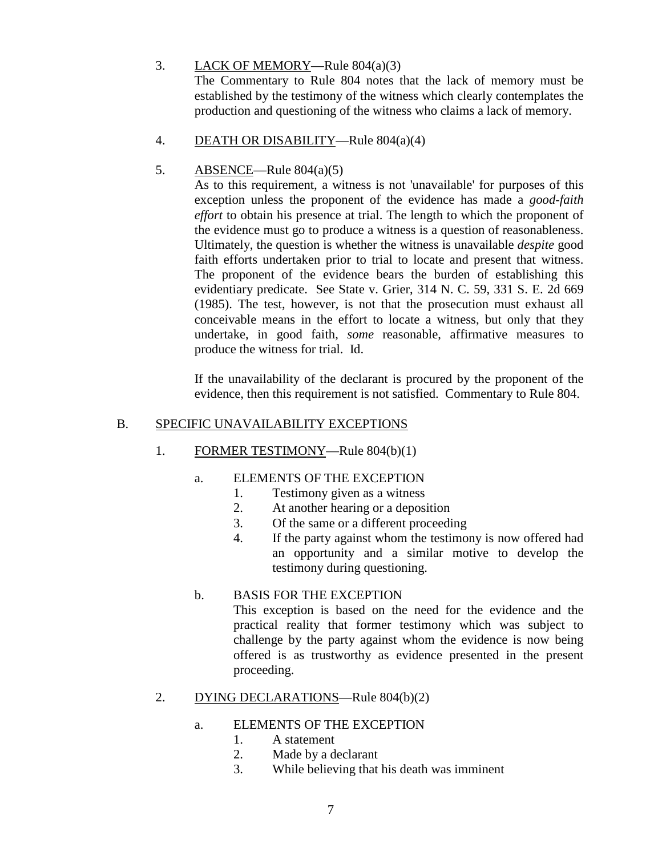## 3. LACK OF MEMORY—Rule 804(a)(3)

The Commentary to Rule 804 notes that the lack of memory must be established by the testimony of the witness which clearly contemplates the production and questioning of the witness who claims a lack of memory.

4. DEATH OR DISABILITY—Rule 804(a)(4)

## 5. ABSENCE—Rule 804(a)(5)

As to this requirement, a witness is not 'unavailable' for purposes of this exception unless the proponent of the evidence has made a *good-faith effort* to obtain his presence at trial. The length to which the proponent of the evidence must go to produce a witness is a question of reasonableness. Ultimately, the question is whether the witness is unavailable *despite* good faith efforts undertaken prior to trial to locate and present that witness. The proponent of the evidence bears the burden of establishing this evidentiary predicate. See State v. Grier, 314 N. C. 59, 331 S. E. 2d 669 (1985). The test, however, is not that the prosecution must exhaust all conceivable means in the effort to locate a witness, but only that they undertake, in good faith, *some* reasonable, affirmative measures to produce the witness for trial. Id.

If the unavailability of the declarant is procured by the proponent of the evidence, then this requirement is not satisfied. Commentary to Rule 804.

#### B. SPECIFIC UNAVAILABILITY EXCEPTIONS

1. FORMER TESTIMONY—Rule 804(b)(1)

#### a. ELEMENTS OF THE EXCEPTION

- 1. Testimony given as a witness
- 2. At another hearing or a deposition
- 3. Of the same or a different proceeding
- 4. If the party against whom the testimony is now offered had an opportunity and a similar motive to develop the testimony during questioning.

#### b. BASIS FOR THE EXCEPTION This exception is based on the need for the evidence and the practical reality that former testimony which was subject to challenge by the party against whom the evidence is now being offered is as trustworthy as evidence presented in the present proceeding.

#### 2. DYING DECLARATIONS—Rule 804(b)(2)

#### a. ELEMENTS OF THE EXCEPTION

- 1. A statement
- 2. Made by a declarant
- 3. While believing that his death was imminent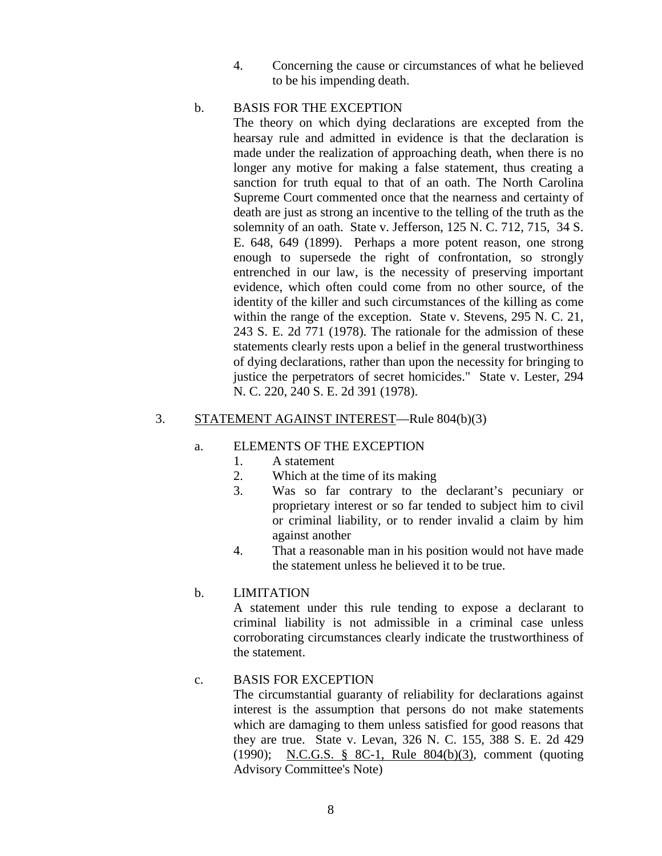4. Concerning the cause or circumstances of what he believed to be his impending death.

#### b. BASIS FOR THE EXCEPTION

The theory on which dying declarations are excepted from the hearsay rule and admitted in evidence is that the declaration is made under the realization of approaching death, when there is no longer any motive for making a false statement, thus creating a sanction for truth equal to that of an oath. The North Carolina Supreme Court commented once that the nearness and certainty of death are just as strong an incentive to the telling of the truth as the solemnity of an oath. State v. Jefferson, 125 N. C. 712, 715, 34 S. E. 648, 649 (1899). Perhaps a more potent reason, one strong enough to supersede the right of confrontation, so strongly entrenched in our law, is the necessity of preserving important evidence, which often could come from no other source, of the identity of the killer and such circumstances of the killing as come within the range of the exception. State v. Stevens, 295 N. C. 21, 243 S. E. 2d 771 (1978). The rationale for the admission of these statements clearly rests upon a belief in the general trustworthiness of dying declarations, rather than upon the necessity for bringing to justice the perpetrators of secret homicides." State v. Lester, 294 N. C. 220, 240 S. E. 2d 391 (1978).

#### 3. STATEMENT AGAINST INTEREST—Rule 804(b)(3)

#### a. ELEMENTS OF THE EXCEPTION

- 1. A statement
- 2. Which at the time of its making
- 3. Was so far contrary to the declarant's pecuniary or proprietary interest or so far tended to subject him to civil or criminal liability, or to render invalid a claim by him against another
- 4. That a reasonable man in his position would not have made the statement unless he believed it to be true.

#### b. LIMITATION

A statement under this rule tending to expose a declarant to criminal liability is not admissible in a criminal case unless corroborating circumstances clearly indicate the trustworthiness of the statement.

#### c. BASIS FOR EXCEPTION

The circumstantial guaranty of reliability for declarations against interest is the assumption that persons do not make statements which are damaging to them unless satisfied for good reasons that they are true. State v. Levan, 326 N. C. 155, 388 S. E. 2d 429 (1990); [N.C.G.S. § 8C-1, Rule 804\(b\)\(3\),](http://www.lexis.com/research/buttonTFLink?_m=af1b629d6deca806a1e209b3748b33fc&_xfercite=%3ccite%20cc%3d%22USA%22%3e%3c%21%5bCDATA%5b331%20N.C.%2012%5d%5d%3e%3c%2fcite%3e&_butType=4&_butStat=0&_butNum=84&_butInline=1&_butinfo=N.C.%20GEN.%20STAT.%208C-1%20804&_fmtstr=FULL&docnum=1&_startdoc=1&wchp=dGLbVlz-zSkAb&_md5=479e35826360d083fda3aae8095a42b6) comment (quoting Advisory Committee's Note)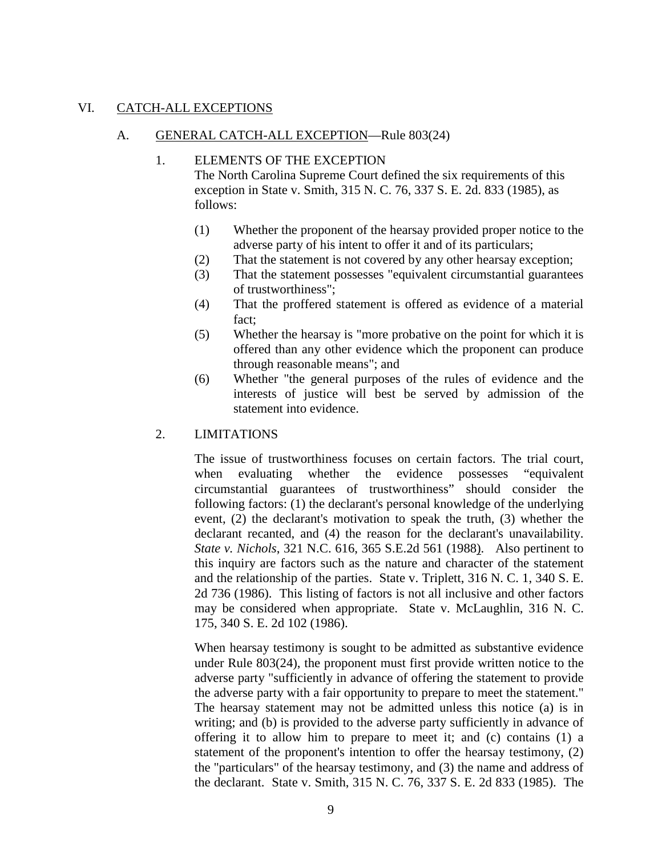#### VI. CATCH-ALL EXCEPTIONS

#### A. GENERAL CATCH-ALL EXCEPTION—Rule 803(24)

#### 1. ELEMENTS OF THE EXCEPTION

The North Carolina Supreme Court defined the six requirements of this exception in State v. Smith, 315 N. C. 76, 337 S. E. 2d. 833 (1985), as follows:

- (1) Whether the proponent of the hearsay provided proper notice to the adverse party of his intent to offer it and of its particulars;
- (2) That the statement is not covered by any other hearsay exception;
- (3) That the statement possesses "equivalent circumstantial guarantees of trustworthiness";
- (4) That the proffered statement is offered as evidence of a material fact;
- (5) Whether the hearsay is "more probative on the point for which it is offered than any other evidence which the proponent can produce through reasonable means"; and
- (6) Whether "the general purposes of the rules of evidence and the interests of justice will best be served by admission of the statement into evidence.

#### 2. LIMITATIONS

The issue of trustworthiness focuses on certain factors. The trial court, when evaluating whether the evidence possesses "equivalent circumstantial guarantees of trustworthiness" should consider the following factors: (1) the declarant's personal knowledge of the underlying event, (2) the declarant's motivation to speak the truth, (3) whether the declarant recanted, and (4) the reason for the declarant's unavailability. *State v. Nichols*[, 321 N.C. 616, 365 S.E.2d 561 \(1988\).](http://www.lexis.com/research/buttonTFLink?_m=933b37ee5ceb8b2c43a8334d51edd6e9&_xfercite=%3ccite%20cc%3d%22USA%22%3e%3c%21%5bCDATA%5b328%20N.C.%20337%5d%5d%3e%3c%2fcite%3e&_butType=3&_butStat=2&_butNum=162&_butInline=1&_butinfo=%3ccite%20cc%3d%22USA%22%3e%3c%21%5bCDATA%5b321%20N.C.%20616%5d%5d%3e%3c%2fcite%3e&_fmtstr=FULL&docnum=1&_startdoc=1&wchp=dGLzVzz-zSkAB&_md5=4b8dfdb4102d6ae0f121e0dd7def1859) Also pertinent to this inquiry are factors such as the nature and character of the statement and the relationship of the parties. State v. Triplett, 316 N. C. 1, 340 S. E. 2d 736 (1986). This listing of factors is not all inclusive and other factors may be considered when appropriate. State v. McLaughlin, 316 N. C. 175, 340 S. E. 2d 102 (1986).

When hearsay testimony is sought to be admitted as substantive evidence under Rule 803(24), the proponent must first provide written notice to the adverse party "sufficiently in advance of offering the statement to provide the adverse party with a fair opportunity to prepare to meet the statement." The hearsay statement may not be admitted unless this notice (a) is in writing; and (b) is provided to the adverse party sufficiently in advance of offering it to allow him to prepare to meet it; and (c) contains (1) a statement of the proponent's intention to offer the hearsay testimony, (2) the "particulars" of the hearsay testimony, and (3) the name and address of the declarant. State v. Smith, 315 N. C. 76, 337 S. E. 2d 833 (1985). The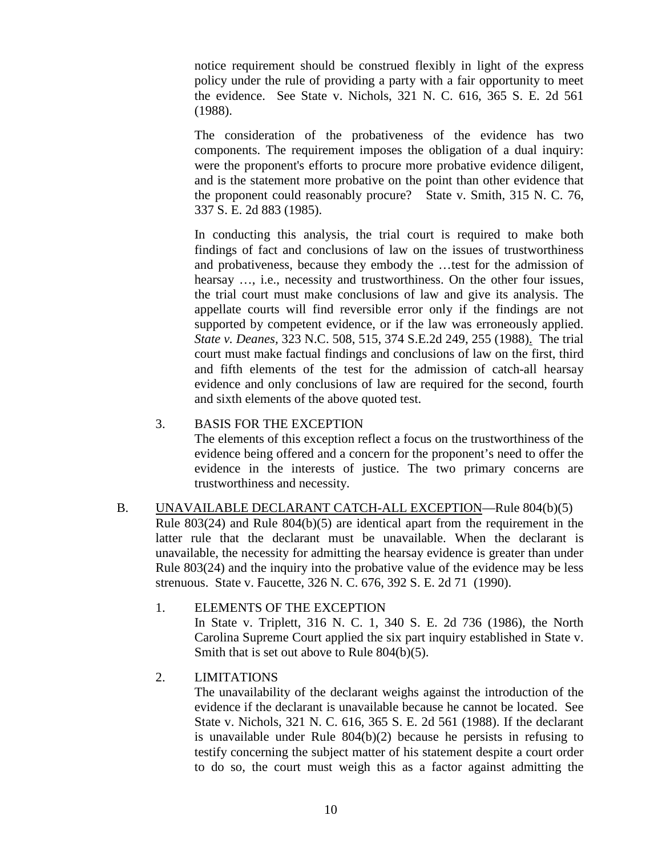notice requirement should be construed flexibly in light of the express policy under the rule of providing a party with a fair opportunity to meet the evidence. See State v. Nichols, 321 N. C. 616, 365 S. E. 2d 561 (1988).

The consideration of the probativeness of the evidence has two components. The requirement imposes the obligation of a dual inquiry: were the proponent's efforts to procure more probative evidence diligent, and is the statement more probative on the point than other evidence that the proponent could reasonably procure? State v. Smith, 315 N. C. 76, 337 S. E. 2d 883 (1985).

In conducting this analysis, the trial court is required to make both findings of fact and conclusions of law on the issues of trustworthiness and probativeness, because they embody the …test for the admission of hearsay ..., i.e., necessity and trustworthiness. On the other four issues, the trial court must make conclusions of law and give its analysis. The appellate courts will find reversible error only if the findings are not supported by competent evidence, or if the law was erroneously applied. *State v. Deanes,* [323 N.C. 508, 515, 374 S.E.2d 249, 255 \(1988\).](http://www.lexis.com/research/buttonTFLink?_m=96dc9fbb9d9d1b775f8ddec4628ce996&_xfercite=%3ccite%20cc%3d%22USA%22%3e%3c%21%5bCDATA%5b337%20N.C.%20384%5d%5d%3e%3c%2fcite%3e&_butType=3&_butStat=2&_butNum=46&_butInline=1&_butinfo=%3ccite%20cc%3d%22USA%22%3e%3c%21%5bCDATA%5b323%20N.C.%20508%2c%20515%5d%5d%3e%3c%2fcite%3e&_fmtstr=FULL&docnum=1&_startdoc=1&wchp=dGLbVzz-zSkAW&_md5=7e009dde8619518d13b59ba70215b291) The trial court must make factual findings and conclusions of law on the first, third and fifth elements of the test for the admission of catch-all hearsay evidence and only conclusions of law are required for the second, fourth and sixth elements of the above quoted test.

#### 3. BASIS FOR THE EXCEPTION

The elements of this exception reflect a focus on the trustworthiness of the evidence being offered and a concern for the proponent's need to offer the evidence in the interests of justice. The two primary concerns are trustworthiness and necessity.

B. UNAVAILABLE DECLARANT CATCH-ALL EXCEPTION—Rule 804(b)(5) Rule 803(24) and Rule 804(b)(5) are identical apart from the requirement in the latter rule that the declarant must be unavailable. When the declarant is unavailable, the necessity for admitting the hearsay evidence is greater than under Rule 803(24) and the inquiry into the probative value of the evidence may be less strenuous. State v. Faucette, 326 N. C. 676, 392 S. E. 2d 71 (1990).

## 1. ELEMENTS OF THE EXCEPTION

In State v. Triplett, 316 N. C. 1, 340 S. E. 2d 736 (1986), the North Carolina Supreme Court applied the six part inquiry established in State v. Smith that is set out above to Rule 804(b)(5).

## 2. LIMITATIONS

The unavailability of the declarant weighs against the introduction of the evidence if the declarant is unavailable because he cannot be located. See State v. Nichols, 321 N. C. 616, 365 S. E. 2d 561 (1988). If the declarant is unavailable under Rule 804(b)(2) because he persists in refusing to testify concerning the subject matter of his statement despite a court order to do so, the court must weigh this as a factor against admitting the